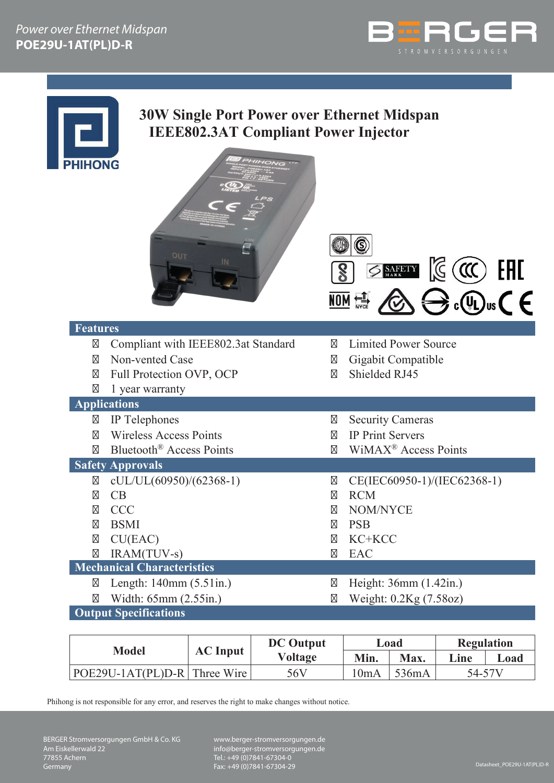



# **30W Single Port Power over Ethernet Midspan IEEE802.3AT Compliant Power Injector**

| <b>PHIHONG</b><br><b>IIHONG</b><br>OUT | C<br>$\leq$ SAFETY $\mathbb{C}$ (CC) EAL<br>$\widetilde{\bigoplus}$ $\widetilde{\oplus}$ $\mathfrak{g}$ $\mathcal{L}$ $\in$<br><b>NON 管</b> |  |  |
|----------------------------------------|---------------------------------------------------------------------------------------------------------------------------------------------|--|--|
| <b>Features</b>                        |                                                                                                                                             |  |  |
| Compliant with IEEE802.3at Standard    | <b>Limited Power Source</b>                                                                                                                 |  |  |
| Non-vented Case                        | Gigabit Compatible                                                                                                                          |  |  |
| Full Protection OVP, OCP               | Shielded RJ45                                                                                                                               |  |  |
| 1 year warranty                        |                                                                                                                                             |  |  |
| <b>Applications</b>                    |                                                                                                                                             |  |  |
| IP Telephones                          | <b>Security Cameras</b>                                                                                                                     |  |  |
| <b>Wireless Access Points</b>          | <b>IP Print Servers</b>                                                                                                                     |  |  |
| Bluetooth <sup>®</sup> Access Points   | WiMAX <sup>®</sup> Access Points                                                                                                            |  |  |
| <b>Safety Approvals</b>                |                                                                                                                                             |  |  |
| $cUL/UL(60950)/(62368-1)$              | CE(IEC60950-1)/(IEC62368-1)                                                                                                                 |  |  |
| CB                                     | <b>RCM</b>                                                                                                                                  |  |  |
| <b>CCC</b>                             | NOM/NYCE                                                                                                                                    |  |  |
| <b>BSMI</b>                            | <b>PSB</b>                                                                                                                                  |  |  |
| CU(EAC)                                | KC+KCC                                                                                                                                      |  |  |
| IRAM(TUV-s)                            | <b>EAC</b>                                                                                                                                  |  |  |
| <b>Mechanical Characteristics</b>      |                                                                                                                                             |  |  |
| Length: 140mm (5.51in.)                | Height: 36mm (1.42in.)                                                                                                                      |  |  |
| Width: 65mm (2.55in.)                  | Weight: 0.2Kg (7.58oz)                                                                                                                      |  |  |

**Output Specifications**

| <b>Model</b>                 | <b>AC</b> Input | <b>DC</b> Output | Load |       | <b>Regulation</b> |      |
|------------------------------|-----------------|------------------|------|-------|-------------------|------|
|                              |                 | <b>Voltage</b>   | Min. | Max.  | Line              | Load |
| POE29U-1AT(PL)D-R Three Wire |                 | 56V              | 10mA | 536mA | 54-57V            |      |

Phihong is not responsible for any error, and reserves the right to make changes without notice.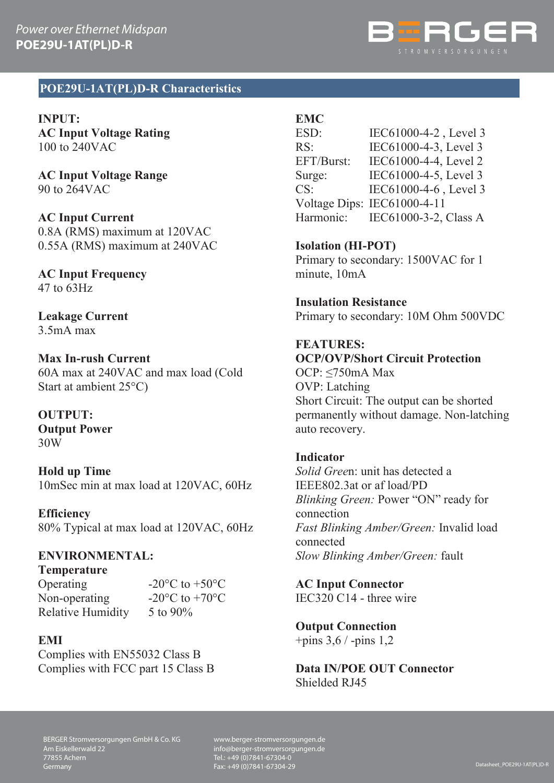

#### **POE29U-1AT(PL)D-R Characteristics**

**INPUT: AC Input Voltage Rating** 100 to 240VAC

**AC Input Voltage Range** 90 to 264VAC

**AC Input Current** 0.8A (RMS) maximum at 120VAC 0.55A (RMS) maximum at 240VAC

**AC Input Frequency** 47 to 63Hz

**Leakage Current** 3.5mA max

#### **Max In-rush Current**

60A max at 240VAC and max load (Cold Start at ambient 25°C)

#### **OUTPUT:**

**Output Power** 30W

**Hold up Time** 10mSec min at max load at 120VAC, 60Hz

**Efficiency** 80% Typical at max load at 120VAC, 60Hz

## **ENVIRONMENTAL:**

**Temperature**

Operating  $-20\degree$ C to  $+50\degree$ C<br>Non-operating  $-20\degree$ C to  $+70\degree$ C Non-operating Relative Humidity 5 to 90%

#### **EMI**

Complies with EN55032 Class B Complies with FCC part 15 Class B

### **EMC**

ESD: IEC61000-4-2, Level 3 RS: IEC61000-4-3, Level 3 EFT/Burst: IEC61000-4-4, Level 2 Surge: IEC61000-4-5, Level 3 CS: IEC61000-4-6 , Level 3 Voltage Dips: IEC61000-4-11 Harmonic: IEC61000-3-2, Class A

**Isolation (HI-POT)** Primary to secondary: 1500VAC for 1 minute, 10mA

**Insulation Resistance** Primary to secondary: 10M Ohm 500VDC

#### **FEATURES:**

**OCP/OVP/Short Circuit Protection** OCP: ≤750mA Max OVP: Latching Short Circuit: The output can be shorted permanently without damage. Non-latching auto recovery.

#### **Indicator**

*Solid Gree*n: unit has detected a IEEE802.3at or af load/PD *Blinking Green:* Power "ON" ready for connection *Fast Blinking Amber/Green:* Invalid load connected *Slow Blinking Amber/Green:* fault

**AC Input Connector**

IEC320 C14 - three wire

**Output Connection**

+pins 3,6 / -pins 1,2

**Data IN/POE OUT Connector** Shielded RJ45

BERGER Stromversorgungen GmbH & Co. KG Am Eiskellerwald 22 77855 Achern Germany

www.berger-stromversorgungen.de info@berger-stromversorgungen.de Tel.: +49 (0)7841-67304-0 Fax: +49 (0)7841-67304-29